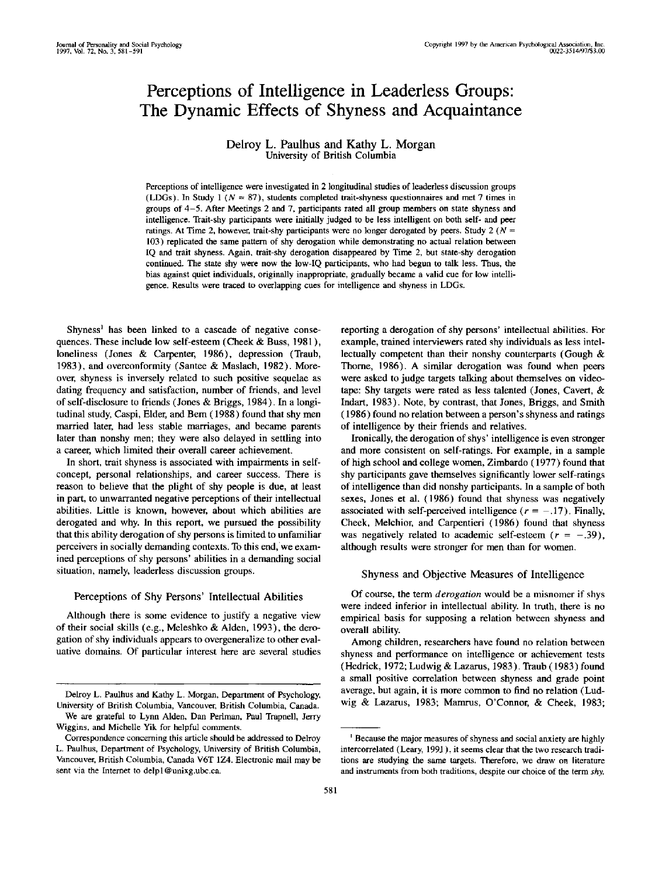# **Perceptions of Intelligence in Leaderless Groups: The Dynamic Effects of Shyness and Acquaintance**

## Delroy L. Paulhus and Kathy L. Morgan University of British Columbia

Perceptions of intelligence were investigated in 2 longitudinal studies of leaderless discussion groups (LDGs). In Study 1 ( $N = 87$ ), students completed trait-shyness questionnaires and met 7 times in groups of 4-5. After Meetings 2 and 7, participants rated all group members on state shyness and intelligence. Trait-shy participants were initially judged to be less intelligent on both self- and peer ratings. At Time 2, however, trait-shy participants were no longer derogated by peers. Study 2 ( $N =$ 103) replicated the same pattern of shy derogation while demonstrating no actual relation between IQ and trait shyness. Again, trait-shy derogation disappeared by Time 2, but state-shy derogation continued, The state shy were now the low-IQ participants, who had begun to talk less. Thus, the bias against quiet individuals, originally inappropriate, gradually became a valid cue for low intelligence. Results were traced to overlapping cues for intelligence and shyness in LDGs.

 $Shyness<sup>1</sup>$  has been linked to a cascade of negative consequences. These include low self-esteem (Cheek & Buss, 1981 ), loneliness (Jones & Carpenter, 1986), depression (Traub, 1983), and overconformity (Santee & Maslach, 1982). Moreover, shyness is inversely related to such positive sequelae as dating frequency and satisfaction, number of friends, and level of self-disclosure to friends (Jones & Briggs, 1984). In a longitudinal study, Caspi, Elder, and Bem (1988) found that shy men married later, had less stable marriages, and became parents later than nonshy men; they were also delayed in settling into a career, which limited their overall career achievement.

In short, trait shyness is associated with impairments in selfconcept, personal relationships, and career success. There is reason to believe that the plight of shy people is due, at least in part, to unwarranted negative perceptions of their intellectual abilities. Little is known, however, about which abilities are derogated and why. In this report, we pursued the possibility that this ability derogation of shy persons is limited to unfamiliar perceivers in socially demanding contexts. To this end, we examined perceptions of shy persons' abilities in a demanding social situation, namely, leaderless discussion groups.

## Perceptions of Shy Persons' Intellectual Abilities

Although there is some evidence to justify a negative view of their social skills (e.g., Meleshko & Alden, 1993), the derogation of shy individuals appears to overgeneralize to other evaluative domains. Of particular interest here are several studies reporting a derogation of shy persons' intellectual abilities. For example, trained interviewers rated shy individuals as less intellectually competent than their nonshy counterparts (Gough & Thorne, 1986). A similar derogation was found when peers were asked to judge targets talking about themselves on videotape: Shy targets were rated as less talented (Jones, Cavert, & Indart, 1983). Note, by contrast, that Jones, Briggs, and Smith (1986) found no relation between a person's shyness and ratings of intelligence by their friends and relatives.

Ironically, the derogation of shys' intelligence is even stronger and more consistent on self-ratings. For example, in a sample of high school and college women, Zimbardo (1977) found that shy participants gave themselves significantly lower self-ratings of intelligence than did nonshy participants. In a sample of both sexes, Jones et al. (1986) found that shyness was negatively associated with self-perceived intelligence ( $r = -.17$ ). Finally, Cheek, Melchior, and Carpentieri (1986) found that shyness was negatively related to academic self-esteem ( $r = -.39$ ), although results were stronger for men than for women.

#### Shyness and Objective Measures of Intelligence

Of course, the term *derogation* would be a misnomer if shys were indeed inferior in intellectual ability. In truth, there is no empirical basis for supposing a relation between shyness and overall ability.

Among children, researchers have found no relation between shyness and performance on intelligence or achievement tests (Hedrick, 1972; Ludwig & Lazarus, 1983). Traub (1983) found a small positive correlation between shyness and grade point average, but again, it is more common to find no relation (Ludwig & Lazarus, 1983; Mamrus, O'Connor, & Cheek, 1983;

Delroy L. Paulhus and Kathy L. Morgan, Department of Psychology, University of British Columbia, Vancouver, British Columbia, Canada. We are grateful to Lynn Alden, Dan Perlman, Paul Trapnell, Jerry

Wiggins, and Micbelle Yik for helpful comments.

Correspondence concerning this article should be addressed to Delroy L. Paulhus, Department of Psychology, University of British Columbia, Vancouver, British Columbia, Canada V6T !ZA. Electronic mail may be sent via the Internet to delpl @unixg.ubc.ca.

Because the major measures of shyness and social anxiety are highly intercorrelated (Leary, 199J ), it seems clear that the two research traditions are studying the same targets. Therefore, we draw on literature and instruments from both traditions, despite our choice of the term *shy.*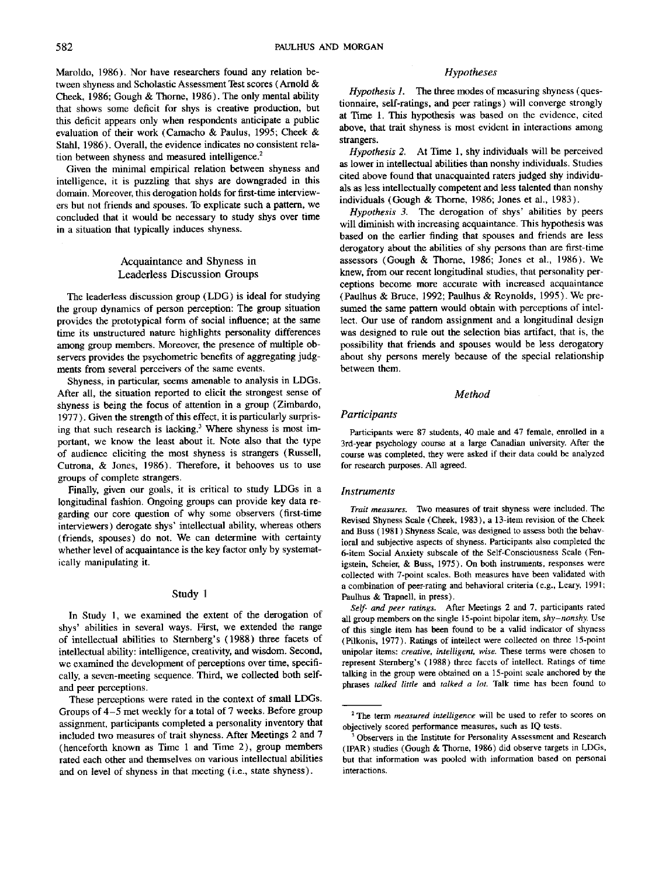Maroldo, 1986). Nor have researchers found any relation between shyness and Scholastic Assessment Test scores (Arnold & Cheek, 1986; Gough & Thorne, 1986). The only mental ability that shows some deficit for shys is creative production, but this deficit appears only when respondents anticipate a public evaluation of their work (Camacho & Paulus, 1995; Cheek & Stahl, 1986). Overall, the evidence indicates no consistent relation between shyness and measured intelligence.<sup>2</sup>

Given the minimal empirical relation between shyness and intelligence, it is puzzling that shys are downgraded in this domain. Moreover, this derogation holds for first-time interviewers but not friends and spouses. To explicate such a pattern, we concluded that it would be necessary to study shys over time in a situation that typically induces shyness.

# Acquaintance and Shyness in Leaderless Discussion Groups

The leaderless discussion group (LDG) is ideal for studying the group dynamics of person perception: The group situation provides the prototypical form of social influence; at the same time its unstructured nature highlights personality differences among group members. Moreover, the presence of multiple observers provides the psychometric benefits of aggregating judgments from several perceivers of the same events.

Shyness, in particular, seems amenable to analysis in LDGs. After all, the situation reported to elicit the strongest sense of shyness is being the focus of attention in a group (Zimbardo, 1977). Given the strength of this effect, it is particularly surprising that such research is lacking.<sup>3</sup> Where shyness is most important, we know the least about it. Note also that the type of audience eliciting the most shyness is strangers (Russell, Cutrona, & Jones, 1986). Therefore, it behooves us to use groups of complete strangers.

Finally, given our goals, it is critical to study LDGs in a longitudinal fashion. Ongoing groups can provide key data regarding our core question of why some observers (first-time interviewers) derogate shys' intellectual ability, whereas others (friends, spouses) do not. We can determine with certainty whether level of acquaintance is the key factor only by systematically manipulating it.

#### Study 1

In Study 1, we examined the extent of the derogation of shys' abilities in several ways. First, we extended the range of intellectual abilities to Sternberg's (1988) three facets of intellectual ability: intelligence, creativity, and wisdom. Second, we examined the development of perceptions over time, specifically, a seven-meeting sequence. Third, we collected both selfand peer perceptions.

These perceptions were rated in the context of small LDGs. Groups of 4-5 met weekly for a total of 7 weeks. Before group assignment, participants completed a personality inventory that included two measures of trait shyness. After Meetings 2 and 7 (henceforth known as Time 1 and Time 2), group members rated each other and themselves on various intellectual abilities and on level of shyness in that meeting (i.e., state shyness).

## *Hypotheses*

*Hypothesis* 1. The three modes of measuring shyness (questionnaire, self-ratings, and peer ratings) will converge strongly at Time 1. This hypothesis was based on the evidence, cited above, that trait shyness is most evident in interactions among strangers.

*Hypothesis 2.* At Time 1, shy individuals will be perceived as lower in intellectual abilities than nonshy individuals. Studies cited above found that unacquainted raters judged shy individuals as less intellectually competent and less talented than nonshy individuals (Gough & Thorne, 1986; Jones et al., 1983).

*Hypothesis 3. The* derogation of shys' abilities by peers will diminish with increasing acquaintance. This hypothesis was based on the earlier finding that spouses and friends are less derogatory about the abilities of shy persons than are first-time assessors (Gough & Thome, 1986; Jones et al., 1986). We knew, from our recent longitudinal studies, that personality perceptions become more accurate with increased acquaintance (Paulhus & Bruce, 1992; Paulhus & Reynolds, 1995). We presumed the same pattern would obtain with perceptions of intellect. Our use of random assignment and a longitudinal design was designed to rule out the selection bias artifact, that is, the possibility that friends and spouses would be less derogatory about shy persons merely because of the special relationship between them.

## *Method*

#### *Participants*

Participants were 87 students, 40 male and 47 female, enrolled in a 3rd-year psychology course at a large Canadian university. After the course was completed, they were asked if their data could be analyzed for research purposes. All agreed.

#### *Instruments*

*Trait measures.* Two measures of trait shyness were included. The Revised Shyness Scale (Cheek, 1983), a 13-item revision of the Cheek and Buss ( 1981 ) Shyness Scale, was designed to assess both the behavioral and subjective aspects of shyness. Participants also completed the 6-item Social Anxiety subscale of the Self-Consciousness Scale (Fenigstein, Scheier, & Buss, 1975). On both instruments, responses were collected with 7-point scales. Both measures have been validated with a combination of peer-rating and behavioral criteria (e.g., Leary, 1991; Paulhus & Trapnell, in press).

*Self- and peer ratings.* After Meetings 2 and 7, participants rated all group members on the single 15-point bipolar item, *shy-nonshy.* Use of this single item has been found to be a valid indicator of shyness (Pilkonis, 1977). Ratings of intellect were collected on three 15-point unipolar items: *creative, intelligent, wise.* These terms were chosen to represent Sternberg's (1988) three facets of intellect. Ratings of time talking in the group were obtained on a 15-point scale anchored by the phrases *talked little* and *talked a lot.* Talk time has been found to

<sup>&</sup>lt;sup>2</sup> The term *measured intelligence* will be used to refer to scores on objectively scored performance measures, such as IQ tests.

<sup>3</sup> Observers in the Institute for Personality Assessment and Research (IPAR) studies (Gough & Thorne, 1986) did observe targets in LDGs, but that information was pooled with information based on personal interactions.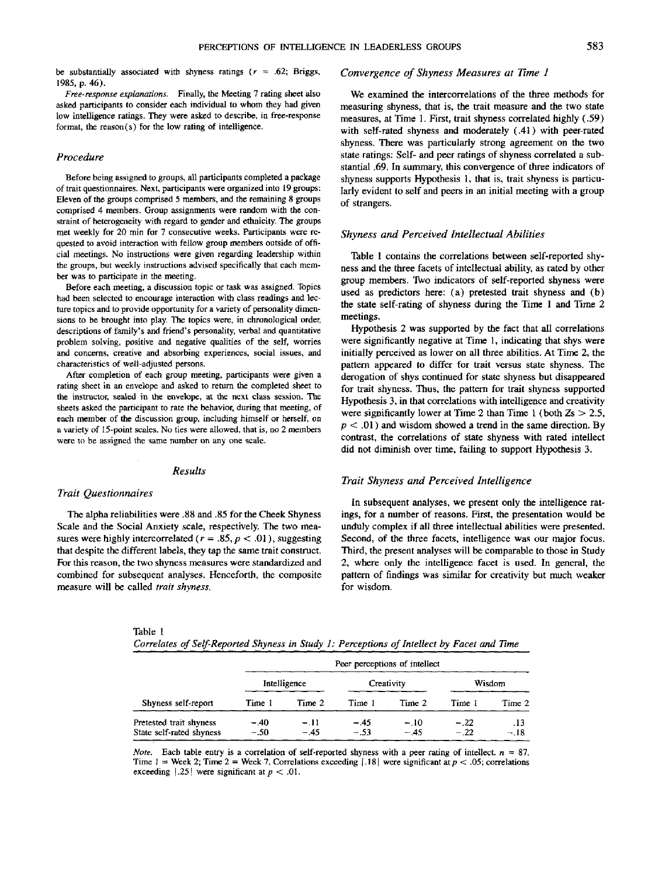be substantially associated with shyness ratings  $(r = .62; Briggs, )$ 1985, p. 46).

*Free-response explanations.* Finally, the Meeting 7 rating sheet also asked participants to consider each individual to whom they had given low intelligence ratings. They were asked to describe, in free-response format, the reason(s) for the low rating of intelligence.

#### *Procedure*

Before being assigned to groups, all participants completed a package of trait questionnaires. Next, participants were organized into 19 groups: Eleven of the groups comprised 5 members, and the remaining 8 groups comprised 4 members. Group assignments were random with the constraint of heterogeneity with regard to gender and ethnicity. The groups met weekly for 20 min for 7 consecutive weeks. Participants were requested to avoid interaction with fellow group members outside of official meetings. No instructions were given regarding leadership within the groups, but weekly instructions advised specifically that each member was to participate in the meeting,

Before each meeting, a discussion topic or task was assigned. Topics had been selected to encourage interaction with class readings and lecture topics and to provide opportunity for a variety of personality dimensions to be brought into play. The topics were, in chronological order, descriptions of family's and friend's personality, verbal and quantitative problem solving, positive and negative qualities of the self, worries and concerns, creative and absorbing experiences, social issues, and characteristics of well-adjusted persons.

After completion of each group meeting, participants were given a rating sheet in an envelope and asked to return the completed sheet to the instructor, sealed in the envelope, at the next class session. The sheets asked the participant to rate the behavior, during that meeting, of each member of the discussion group, including himself or herself, on a variety of 15-point scales. No ties were allowed, that is, no 2 members were to be assigned the same number on any one scale.

#### *Results*

#### *Trait Questionnaires*

The alpha reliabilities were .88 and .85 for the Cheek Shyness Scale and the Social Anxiety scale, respectively. The two measures were highly intercorrelated ( $r = .85$ ,  $p < .01$ ), suggesting that despite the different labels, they tap the same trait construct. For this reason, the two shyness measures were standardized and combined for subsequent analyses. Henceforth, the composite measure will be called *trait shyness.* 

#### *Convergence of Shyness Measures at Time 1*

We examined the intercorrelations of the three methods for measuring shyness, that is, the trait measure and the two state measures, at Time 1. First, trait shyness correlated highly (.59) with self-rated shyness and moderately (.41) with peer-rated shyness. There was particularly strong agreement on the two state ratings: Self- and peer ratings of shyness correlated a substantial .69. In summary, this convergence of three indicators of shyness supports Hypothesis 1, that is, trait shyness is particularly evident to self and peers in an initial meeting with a group of strangers.

### *Shyness and Perceived Intellectual Abilities*

Table 1 contains the correlations between self-reported shyness and the three facets of intellectual ability, as rated by other group members. Two indicators of self-reported shyness were used as predictors here: (a) pretested trait shyness and (b) the state self-rating of shyness during the Time 1 and Time 2 meetings.

Hypothesis 2 was supported by the fact that all correlations were significantly negative at Time 1, indicating that shys were initially perceived as lower on all three abilities. At Time 2, the pattern appeared to differ for trait versus state shyness. The derogation of shys continued for state shyness but disappeared for trait shyness. Thus, the pattern for trait shyness supported Hypothesis 3, in that correlations with intelligence and creativity were significantly lower at Time 2 than Time 1 (both  $Z_s > 2.5$ ,  $p < .01$ ) and wisdom showed a trend in the same direction. By contrast, the correlations of state shyness with rated intellect did not diminish over time, failing to support Hypothesis 3.

## *Trait Shyness and Perceived Intelligence*

In subsequent analyses, we present only the intelligence ratings, for a number of reasons. First, the presentation would be unduly complex if all three intellectual abilities were presented. Second, of the three facets, intelligence was our major focus. Third, the present analyses will be comparable to those in Study 2, where only the intelligence facet is used. In general, the pattern of findings was similar for creativity but much weaker for wisdom.

Table 1

|         |  |  |  |  | Correlates of Self-Reported Shyness in Study 1: Perceptions of Intellect by Facet and Time |
|---------|--|--|--|--|--------------------------------------------------------------------------------------------|
| _______ |  |  |  |  |                                                                                            |

|                                                     | Peer perceptions of intellect |                  |                  |                 |                  |               |  |  |
|-----------------------------------------------------|-------------------------------|------------------|------------------|-----------------|------------------|---------------|--|--|
|                                                     | Intelligence                  |                  | Creativity       |                 | Wisdom           |               |  |  |
| Shyness self-report                                 | Time 1                        | Time 2           | Time 1           | Time 2          | Time 1           | Time 2        |  |  |
| Pretested trait shyness<br>State self-rated shyness | $-.40$<br>$-.50$              | $-.11$<br>$-.45$ | $-.45$<br>$-.53$ | $-.10$<br>$-45$ | $-.22$<br>$-.22$ | .13<br>$-.18$ |  |  |

*Note.* Each table entry is a correlation of self-reported shyness with a peer rating of intellect,  $n = 87$ . Time 1 = Week 2; Time 2 = Week 7. Correlations exceeding  $|.18|$  were significant at  $p < .05$ ; correlations exceeding  $|.25|$  were significant at  $p < .01$ .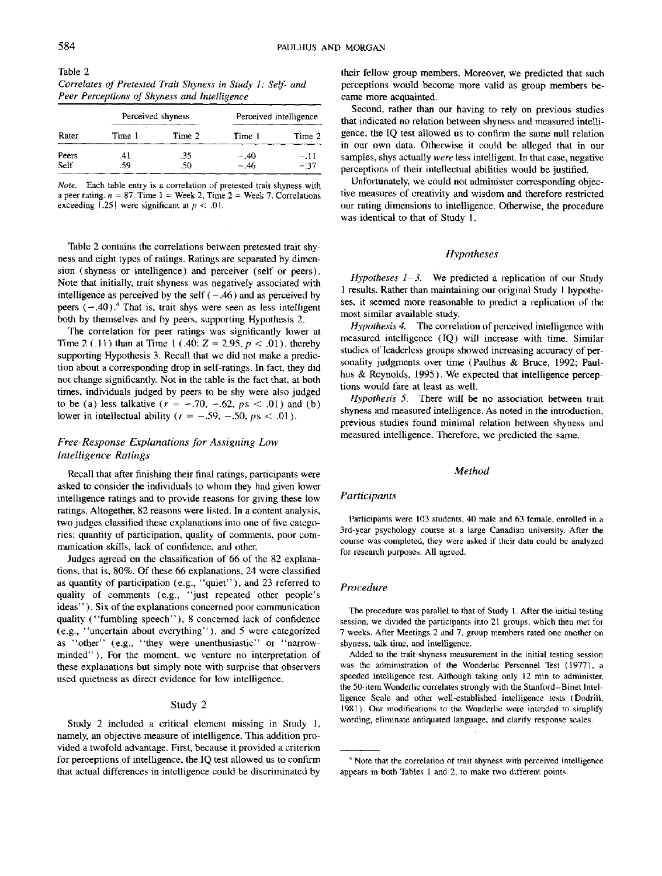Table 2 *Correlates of Pretested Trait Shyness in Study 1: Self- and Peer Perceptions of Shyness and Intelligence* 

| Rater |        | Perceived shyness | Perceived intelligence |        |  |
|-------|--------|-------------------|------------------------|--------|--|
|       | Time 1 | Time 2            | Time 1                 | Time 2 |  |
| Peers | .41    | .35               | $-.40$                 | $-.11$ |  |
| Self  | .59    | .50               | $-46$                  | $-37$  |  |

*Note.* Each table entry is a correlation of pretested trait shyness with a peer rating,  $n = 87$ . Time 1 = Week 2; Time 2 = Week 7. Correlations exceeding 1.25 were significant at  $p < .01$ .

Table 2 contains the correlations between pretested trait shyness and eight types of ratings. Ratings are separated by dimension (shyness or intelligence) and perceiver (self or peers). Note that initially, trait shyness was negatively associated with intelligence as perceived by the self  $(-.46)$  and as perceived by peers  $(-.40)$ .<sup>4</sup> That is, trait shys were seen as less intelligent both by themselves and by peers, supporting Hypothesis 2.

The correlation for peer ratings was significantly lower at Time 2 (.11) than at Time 1 (.40;  $Z = 2.95, p < .01$ ), thereby supporting Hypothesis 3. Recall that we did not make a prediction about a corresponding drop in self-ratings. In fact, they did not change significantly. Not in the table is the fact that, at both times, individuals judged by peers to be shy were also judged to be (a) less talkative  $(r = -.70, -.62, ps < .01)$  and (b) lower in intellectual ability ( $r = -.59, -.50, ps < .01$ ).

# *Free-Response Explanations for Assigning Low Intelligence Ratings*

Recall that after finishing their final ratings, participants were asked to consider the individuals to whom they had given lower intelligence ratings and to provide reasons for giving these low ratings. Altogether, 82 reasons were listed. In a content analysis, two judges classified these explanations into one of five categories: quantity of participation, quality of comments, poor communication skills, lack of confidence, and other.

Judges agreed on the classification of 66 of the 82 explanations, that is, 80%. Of these 66 explanations, 24 were classified as quantity of participation (e.g., "quiet"), and 23 referred to quality of comments (e.g., "just repeated other people's ideas" ). Six of the explanations concerned poor communication quality ("fumbling speech"), 8 concerned lack of confidence (e.g., "uncertain about everything"), and 5 were categorized as "other" (e.g., "they were unenthusiastic" or "narrowminded"). For the moment, we venture no interpretation of these explanations but simply note with surprise that observers used quietness as direct evidence for low intelligence.

## Study 2

Study 2 included a critical element missing in Study 1, namely, an objective measure of intelligence. This addition provided a twofold advantage. First, because it provided a criterion for perceptions of intelligence, the IQ test allowed us to confirm that actual differences in intelligence could be discriminated by their fellow group members. Moreover, we predicted that such perceptions would become more valid as group members became more acquainted.

Second, rather than our having to rely on previous studies that indicated no relation between shyness and measured intelligence, the IQ test allowed us to confirm the same null relation in our own data. Otherwise it could be alleged that in our samples, shys actually *were* less intelligent. In that case, negative perceptions of their intellectual abilities would be justified.

Unfortunately, we could not administer corresponding objective measures of creativity and wisdom and therefore restricted our rating dimensions to intelligence. Otherwise, the procedure was identical to that of Study 1.

### *Hypotheses*

*Hypotheses 1-3.* We predicted a replication of our Study 1 results. Rather than maintaining our original Study 1 hypotheses, it seemed more reasonable to predict a replication of the most similar available study.

*Hypothesis 4. The* correlation of perceived intelligence with measured intelligence (IQ) will increase with time. Similar studies of leaderless groups showed increasing accuracy of personality judgments over time (Paulhus & Bruce, 1992; Paulhus & Reynolds, 1995). We expected that intelligence perceptions would fare at least as well.

*Hypothesis 5.* There will be no association between trait shyness and measured intelligence. As noted in the introduction, previous studies found minimal relation between shyness and measured intelligence. Therefore, we predicted the same.

# *Method*

#### *Participants*

Participants were 103 students, 40 male and 63 female, enrolled in a 3rd-year psychology course at a large Canadian university. After the course was completed, they were asked if their data could be analyzed for research purposes. All agreed.

#### *Procedure*

The procedure was parallel to that of Study 1. After the initial testing session, we divided the participants into 21 groups, which then met for 7 weeks. After Meetings 2 and 7, group members rated one another on shyness, talk time, and intelligence.

Added to the trait-shyness measurement in the initial testing session was the administration of the Wonderlic Personnel Test (1977), a speeded intelligence test. Although taking only 12 min to administer, the 50-item Wonderlic correlates strongly with the Stanford-Binet Intelligence Scale and other well-established intelligence tests (Dodrill, 1981 ). Our modifications to the Wonderlic were intended to simplify wording, eliminate antiquated language, and clarify response scales.

<sup>&</sup>lt;sup>4</sup> Note that the correlation of trait shyness with perceived intelligence appears in both Tables 1 and 2; to make two different points.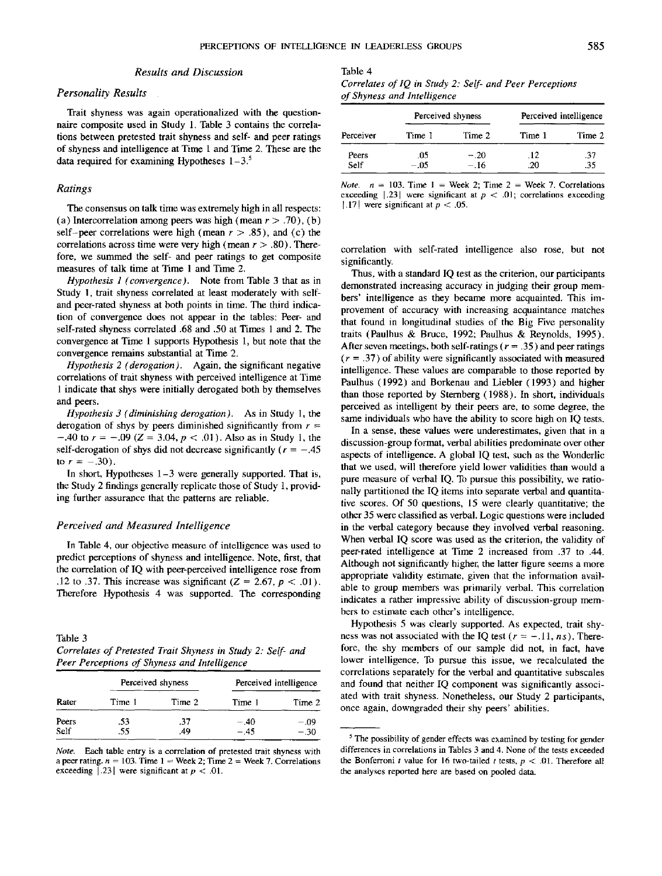## *Results and Discussion*

## *Personality Results*

Trait shyness was again operationalized with the questionnaire composite used in Study 1. Table 3 contains the correlations between pretested trait shyness and self- and peer ratings of shyness and intelligence at Time 1 and Time 2. These are the data required for examining Hypotheses  $1-3<sup>5</sup>$ 

#### *Ratings*

The consensus on talk time was extremely high in all respects: (a) Intercorrelation among peers was high (mean  $r > .70$ ), (b) self-peer correlations were high (mean  $r > .85$ ), and (c) the correlations across time were very high (mean  $r > .80$ ). Therefore, we summed the self- and peer ratings to get composite measures of talk time at Time 1 and Time 2.

*Hypothesis 1 (convergence).* Note from Table 3 that as in Study I, trait shyness correlated at least moderately with selfand peer-rated shyness at both points in time. The third indication of convergence does not appear in the tables: Peer- and self-rated shyness correlated .68 and .50 at Times 1 and 2. The convergence at Time 1 supports Hypothesis 1, but note that the convergence remains substantial at Time 2.

*Hypothesis 2 (derogation).* Again, the significant negative correlations of trait shyness with perceived intelligence at Time l indicate that shys were initially derogated both by themselves and peers.

*Hypothesis 3 (diminishing derogation).* As in Study 1, the derogation of shys by peers diminished significantly from  $r =$  $-.40$  to  $r = -.09$  ( $Z = 3.04$ ,  $p < .01$ ). Also as in Study 1, the self-derogation of shys did not decrease significantly ( $r = -.45$ ) to  $r = -.30$ ).

In short, Hypotheses  $1-3$  were generally supported. That is, the Study 2 findings generally replicate those of Study 1, providing further assurance that the patterns are reliable.

#### *Perceived and Measured Intelligence*

In Table 4, our objective measure of intelligence was used to predict perceptions of shyness and intelligence. Note, first, that the correlation of IQ with peer-perceived intelligence rose from .12 to .37. This increase was significant ( $Z = 2.67$ ,  $p < .01$ ). Therefore Hypothesis 4 was supported. The corresponding

Table 3

*Correlates of Pretested Trait Shyness in Study 2: Self- and Peer Perceptions of Shyness and Intelligence* 

| Rater |        | Perceived shyness | Perceived intelligence |        |  |
|-------|--------|-------------------|------------------------|--------|--|
|       | Time 1 | Time 2            | Time 1                 | Time 2 |  |
| Peers | .53    | .37               | $-.40$                 | -.09   |  |
| Self  | .55    | 49                | - 45                   | -.30   |  |

*Note.* Each table entry is a correlation of pretested trait shyness with a peer rating,  $n = 103$ . Time 1 = Week 2; Time 2 = Week 7. Correlations exceeding [.23] were significant at  $p < .01$ .

| ante |  |
|------|--|
|      |  |

| Correlates of IQ in Study 2: Self- and Peer Perceptions |  |  |
|---------------------------------------------------------|--|--|
| of Shyness and Intelligence                             |  |  |

|           |        | Perceived shyness | Perceived intelligence |        |  |
|-----------|--------|-------------------|------------------------|--------|--|
| Perceiver | Time 1 | Time 2            | Time 1                 | Time 2 |  |
| Peers     | .05    | $-.20$            | .12                    | .37    |  |
| Self      | $-.05$ | - 16              | .20                    | .35    |  |

*Note.*  $n = 103$ . Time 1 = Week 2; Time 2 = Week 7. Correlations exceeding  $|.23|$  were significant at  $p < .01$ ; correlations exceeding  $|.17|$  were significant at  $p < .05$ .

correlation with self-rated intelligence also rose, but not significantly.

Thus, with a standard IQ test as the criterion, our participants demonstrated increasing accuracy in judging their group members' intelligence as they became more acquainted. This improvement of accuracy with increasing acquaintance matches that found in longitudinal studies of the Big Five personality traits (Paulhus & Bruce, 1992; Panlhus & Reynolds, 1995). After seven meetings, both self-ratings ( $r = .35$ ) and peer ratings  $(r = .37)$  of ability were significantly associated with measured intelligence. These values are comparable to those reported by Paulhus (1992) and Borkenau and Liebler (1993) and higher than those reported by Sternberg (1988). In short, individuals perceived as intelligent by their peers are, to some degree, the same individuals who have the ability to score high on IQ tests.

In a sense, these values were underestimates, given that in a discussion-group format, verbal abilities predominate over other aspects of intelligence. A global IQ test, such as the Wonderlic that we used, will therefore yield lower validities than would a pure measure of verbal IQ. To pursue this possibility, we rationally partitioned the IQ items into separate verbal and quantitative scores. Of 50 questions, 15 were clearly quantitative; the other 35 were classified as verbal. Logic questions were included in the verbal category because they involved verbal reasoning. When verbal IQ score was used as the criterion, the validity of peer-rated intelligence at Time 2 increased from .37 to .44. Although not significantly higher, the latter figure seems a more appropriate validity estimate, given that the information available to group members was primarily verbal. This correlation indicates a rather impressive ability of discussion-group members to estimate each other's intelligence.

Hypothesis 5 was clearly supported. As expected, trait shyness was not associated with the IQ test ( $r = -.11$ ,  $ns$ ). Therefore, the shy members of our sample did not, in fact, have lower intelligence. To pursue this issue, we recalculated the correlations separately for the verbal and quantitative subscales and found that neither IQ component was significantly associated with trait shyness. Nonetheless, our Study 2 participants, once again, downgraded their shy peers' abilities.

<sup>&</sup>lt;sup>5</sup> The possibility of gender effects was examined by testing for gender differences in correlations in Tables 3 and 4. None of the tests exceeded the Bonferroni t value for 16 two-tailed t tests,  $p < .01$ . Therefore all the analyses reported here are based on pooled data.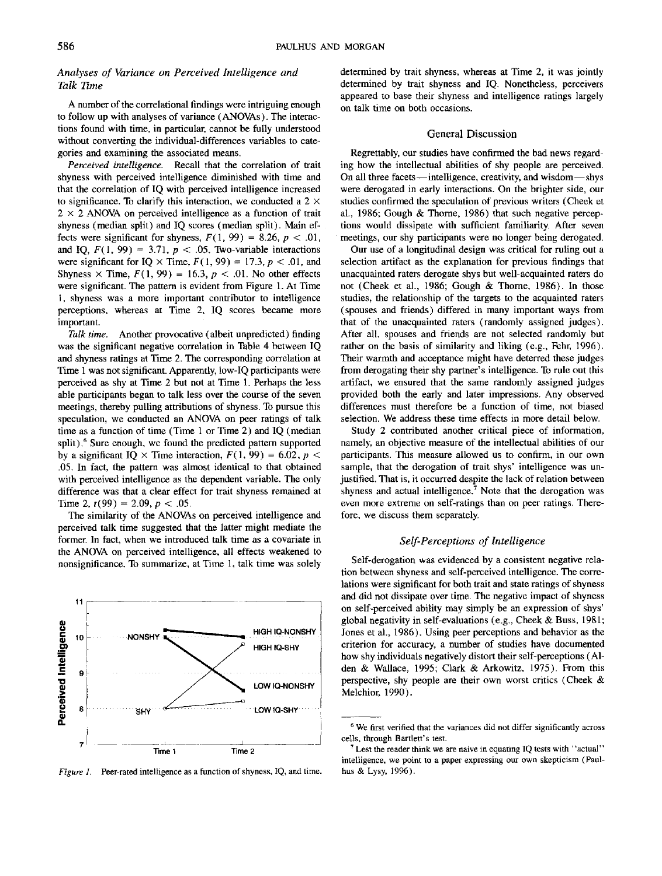# *Analyses of Variance on Perceived Intelligence and Talk Time*

A number of the correlational findings were intriguing enough to follow up with analyses of variance (ANOVAs). The interactions found with time, in particular, cannot be fully understood without converting the individual-differences variables to categories and examining the associated means.

*Perceived intelligence.* Recall that the correlation of trait shyness with perceived intelligence diminished with time and that the correlation of IQ with perceived intelligence increased to significance. To clarify this interaction, we conducted a  $2 \times$  $2 \times 2$  ANOVA on perceived intelligence as a function of trait shyness (median split) and IQ scores (median split). Main effects were significant for shyness,  $F(1, 99) = 8.26$ ,  $p < .01$ , and IQ,  $F(1, 99) = 3.71$ ,  $p < .05$ . Two-variable interactions were significant for IQ  $\times$  Time,  $F(1, 99) = 17.3$ ,  $p < .01$ , and Shyness  $\times$  Time,  $F(1, 99) = 16.3$ ,  $p < .01$ . No other effects were significant. The pattern is evident from Figure 1. At Time l, shyness was a more important contributor to intelligence perceptions, whereas at Time 2, IQ scores became more important.<br>Talk time.

Another provocative (albeit unpredicted) finding was the significant negative correlation in Table 4 between IQ and shyness ratings at Time 2. The corresponding correlation at Time 1 was not significant. Apparently, low-IQ participants were perceived as shy at Time 2 but not at Time 1. Perhaps the less able participants began to talk less over the course of the seven meetings, thereby pulling attributions of shyness. To pursue this speculation, we conducted an ANOVA on peer ratings of talk time as a function of time (Time 1 or Time 2) and IQ (median split).<sup>6</sup> Sure enough, we found the predicted pattern supported by a significant IQ  $\times$  Time interaction,  $F(1, 99) = 6.02$ ,  $p <$ .05. In fact, the pattern was almost identical to that obtained with perceived intelligence as the dependent variable. The only difference was that a clear effect for trait shyness remained at Time 2,  $t(99) = 2.09$ ,  $p < .05$ .

The similarity of the ANOVAs on perceived intelligence and perceived talk time suggested that the latter might mediate the former. In fact, when we introduced talk time as a covariate in the ANOVA on perceived intelligence, all effects weakened to nonsignificance. To summarize, at Time 1, talk time was solely



*Figure 1.* Peer-rated intelligence as a function of shyness, IQ, and time.

determined by trait shyness, whereas at Time 2, it was jointly determined by trait shyness and IQ. Nonetheless, perceivers appeared to base their shyness and intelligence ratings largely on talk time on both occasions.

## General Discussion

Regrettably, our studies have confirmed the bad news regarding how the intellectual abilities of shy people are perceived. On all three facets--intelligence, creativity, and wisdom-shys were derogated in early interactions. On the brighter side, our studies confirmed the speculation of previous writers (Cheek et al., 1986; Gough & Thorne, 1986) that such negative perceptions would dissipate with sufficient familiarity. After seven meetings, our shy participants were no longer being derogated.

Our use of a longitudinal design was critical for ruling out a selection artifact as the explanation for previous findings that unacquainted raters derogate shys but well-acquainted raters do not (Cheek et al., 1986; Gough & Thorne, 1986). In those studies, the relationship of the targets to the acquainted raters (spouses and friends) differed in many important ways from that of the unacquainted raters (randomly assigned judges). After all, spouses and friends are not selected randomly but rather on the basis of similarity and liking (e.g., Fehr, 1996). Their warmth and acceptance might have deterred these judges from derogating their shy partner's intelligence. To rule out this artifact, we ensured that the same randomly assigned judges provided both the early and later impressions. Any observed differences must therefore be a function of time, not biased selection. We address these time effects in more detail below.

Study 2 contributed another critical piece of information, namely, an objective measure of the intellectual abilities of our participants. This measure allowed us to confirm, in our own sample, that the derogation of trait shys' intelligence was unjustified. That is, it occurred despite the lack of relation between shyness and actual intelligence.<sup>7</sup> Note that the derogation was even more extreme on self-ratings than on peer ratings. Therefore, we discuss them separately.

# *Self-Perceptions of Intelligence*

Self-derogation was evidenced by a consistent negative relation between shyness and self-perceived intelligence. The correlations were significant for both trait and state ratings of shyness and did not dissipate over time. The negative impact of shyness on self-perceived ability may simply be an expression of shys' global negativity in self-evaluations (e.g., Cheek & Buss, 1981; Jones et al., 1986). Using peer perceptions and behavior as the criterion for accuracy, a number of studies have documented how shy individuals negatively distort their self-perceptions (Alden & Wallace, 1995; Clark & Arkowitz, 1975). From this perspective, shy people are their own worst critics (Cheek & Melchior, 1990).

<sup>&</sup>lt;sup>6</sup> We first verified that the variances did not differ significantly across ceils, through Bartlett's test.

 $<sup>7</sup>$  Lest the reader think we are naive in equating IQ tests with "actual"</sup> intelligence, we point to a paper expressing our own skepticism (Paulhus & Lysy, 1996).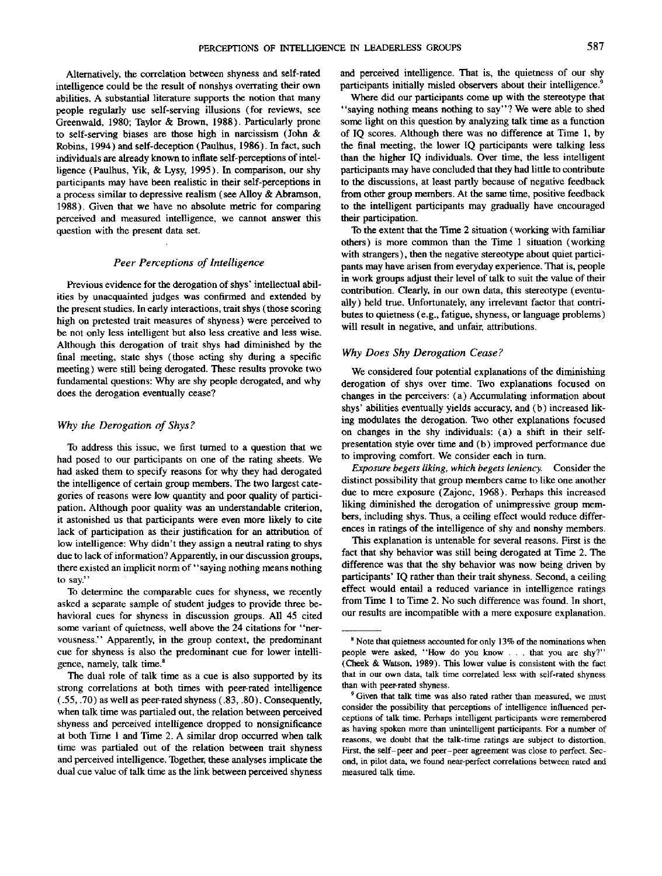Alternatively, the correlation between shyness and self-rated intelligence could be the result of nonshys overrating their own abilities. A substantial literature supports the notion that many people regularly use self-serving illusions (for reviews, see Greenwald, 1980; Taylor & Brown, 1988). Particularly prone to self-serving biases are those high in narcissism (John & Robins, 1994) and self-deception (Paulhus, 1986). In fact, such individuals are already known to inflate self-perceptions of intelligence (Paulhus, Yik, & Lysy, 1995). In comparison, our shy participants may have been realistic in their self-perceptions in a process similar to depressive realism (see Alloy & Abramson, 1988). Given that we have no absolute metric for comparing perceived and measured intelligence, we cannot answer this question with the present data set.

## *Peer Perceptions of lnteUigence*

Previous evidence for the derogation of shys' intellectual abilities by unacquainted judges was confirmed and extended by the present studies. In early interactions, trait shys (those scoring high on pretested trait measures of shyness) were perceived to be not only less intelligent but also less creative and less wise. Although this derogation of trait shys had diminished by the final meeting, state shys (those acting shy during a specific meeting) were still being derogated. These results provoke two fundamental questions: Why are shy people derogated, and why does the derogation eventually cease?

## *Why the Derogation of Shys ?*

To address this issue, we first turned to a question that we had posed to our participants on one of the rating sheets. We had asked them to specify reasons for why they had derogated the intelligence of certain group members. The two largest categories of reasons were low quantity and poor quality of participation. Although poor quality was an understandable criterion, it astonished us that participants were even more likely to cite lack of participation as their justification for an attribution of low intelligence: Why didn't they assign a neutral rating to shys due to lack of information? Apparently, in our discussion groups, there existed an implicit norm of "saying nothing means nothing to say."

To determine the comparable cues for shyness, we recently asked a separate sample of student judges to provide three behavioral cues for shyness in discussion groups. All 45 cited some variant of quietness, well above the 24 citations for "nervousness." Apparently, in the group context, the predominant cue for shyness is also the predominant cue for lower intelligence, namely, talk time.<sup>8</sup>

The dual role of talk time as a cue is also supported by its strong correlations at both times with peer-rated intelligence (.55, .70) as well as peer-rated shyness (.83, .80). Consequently, when talk time was partialed out, the relation between perceived shyness and perceived intelligence dropped to nonsignificance at both Time 1 and Time 2. A similar drop occurred when talk time was partialed out of the relation between trait shyness and perceived intelligence. Together, these analyses implicate the dual cue value of talk time as the link between perceived shyness

and perceived intelligence. That is, the quietness of our shy participants initially misled observers about their intelligence?

Where did our participants come up with the stereotype that "saying nothing means nothing to say"? We were able to shed some light on this question by analyzing talk time as a function of IQ scores. Although there was no difference at Time 1, by the final meeting, the lower IQ participants were talking less than the higher IQ individuals. Over time, the less intelligent participants may have concluded that they had little to contribute to the discussions, at least partly because of negative feedback from other group members. At the same time, positive feedback to the intelligent participants may gradually have encouraged their participation.

To the extent that the Time 2 situation (working with familiar others) is more common than the Time 1 situation (working with strangers), then the negative stereotype about quiet participants may have arisen from everyday experience. That is, people in work groups adjust their level of talk to suit the value of their contribution. Clearly, in our own data, this stereotype (eventually) held true. Unfortunately, any irrelevant factor that contributes to quietness (e.g., fatigue, shyness, or language problems) will result in negative, and unfair, attributions.

## *Why Does Shy Derogation Cease?*

We considered four potential explanations of the diminishing derogation of shys over time. Two explanations focused on changes in the perceivers: (a) Accumulating information about shys' abilities eventually yields accuracy, and (b) increased liking modulates the derogation. Two other explanations focused on changes in the shy individuals: (a) a shift in their selfpresentation style over time and (b) improved performance due to improving comfort. We consider each in turn.

*Exposure begets liking, which begets leniency.* Consider the distinct possibility that group members came to like one another due to mere exposure (Zajonc, 1968). Perhaps this increased liking diminished the derogation of unimpressive group members, including shys. Thus, a ceiling effect would reduce differences in ratings of the intelligence of shy and nonshy members.

This explanation is untenable for several reasons. First is the fact that shy behavior was still being derogated at Time 2. The difference was that the shy behavior was now being driven by participants' IQ rather than their trait shyness. Second, a ceiling effect would entail a reduced variance in intelligence ratings from Time 1 to Time 2. No such difference was found. In short, our results are incompatible with a mere exposure explanation.

 $8$  Note that quietness accounted for only 13% of the nominations when people were asked, "How do you know . . . that you are shy?" (Cheek & Watson, 1989). This lower value is consistent with the fact that in our own data, talk time correlated less with self-rated shyness than with peer-rated shyness.

<sup>&</sup>lt;sup>9</sup> Given that talk time was also rated rather than measured, we must consider the possibility that perceptions of intelligence influenced perceptions of talk time. Perhaps intelligent participants were remembered as having spoken more than unintelligent participants. For a number of reasons, we doubt that the talk-time ratings are subject to distortion. First, the self-peer and peer-peer agreement was close to perfect. Second, in pilot data, we found near-perfect correlations between rated and measured talk time.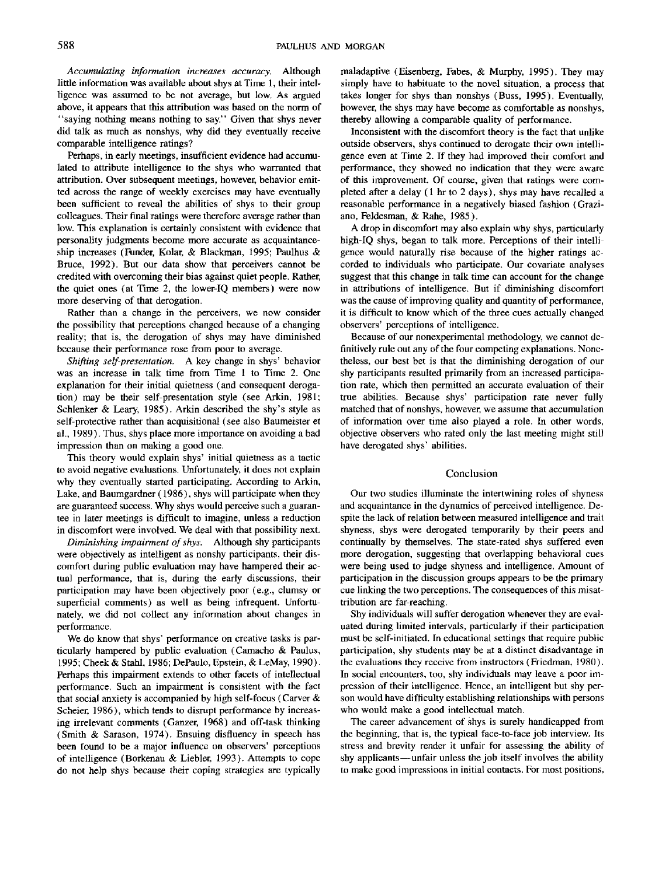*Accumulating information increases accuracy.* Although little information was available about shys at Time 1, their intelligence was assumed to be not average, but low. As argued above, it appears that this attribution was based on the norm of "saying nothing means nothing to say." Given that shys never did talk as much as nonshys, why did they eventually receive comparable intelligence ratings?

Perhaps, in early meetings, insufficient evidence had accumulated to attribute intelligence to the shys who warranted that attribution. Over subsequent meetings, however, behavior emitted across the range of weekly exercises may have eventually been sufficient to reveal the abilities of shys to their group colleagues. Their final ratings were therefore average rather than low. This explanation is certainly consistent with evidence that personality judgments become more accurate as acquaintanceship increases (Funder, Kolar, & Blackman, 1995; Paulhus & Bruce, 1992). But our data show that perceivers cannot be credited with overcoming their bias against quiet people. Rather, the quiet ones (at Time 2, the lower-IQ members) were now more deserving of that derogation.

Rather than a change in the perceivers, we now consider the possibility that perceptions changed because of a changing reality; that is, the derogation of shys may have diminished because their performance rose from poor to average.

*Shifting self-presentation.* A key change in shys' behavior was an increase in talk time from Time 1 to Time 2. One explanation for their initial quietness (and consequent derogation) may be their self-presentation style (see Arkin, 1981; Schlenker & Leary, 1985). Arkin described the shy's style as self-protective rather than acquisitional (see also Baumeister et al., 1989). Thus, shys place more importance on avoiding a bad impression than on making a good one.

This theory would explain shys' initial quietness as a tactic to avoid negative evaluations. Unfortunately, it does not explain why they eventually started participating. According to Arkin, Lake, and Baumgardner (1986), shys will participate when they are guaranteed success. Why shys would perceive such a guarantee in later meetings is difficult to imagine, unless a reduction in discomfort were involved. We deal with that possibility next.

*Diminishing impairment of shys.* Although shy participants were objectively as intelligent as nonshy participants, their discomfort during public evaluation may have hampered their actual performance, that is, during the early discussions, their participation may have been objectively poor (e.g., clumsy or superficial comments) as well as being infrequent. Unfortunately, we did not collect any information about changes in performance.

We do know that shys' performance on creative tasks is particularly hampered by public evaluation (Camacho & Paulus, 1995; Cheek & Stahl, 1986; DePaulo, Epstein, & LeMay, 1990). Perhaps this impairment extends to other facets of intellectual performance. Such an impairment is consistent with the fact that social anxiety is accompanied by high self-focus (Carver & Scheier, 1986), which tends to disrupt performance by increasing irrelevant comments (Ganzer, 1968) and off-task thinking (Smith & Sarason, 1974). Ensuing disfluency in speech has been found to be a major influence on observers' perceptions of intelligence (Borkenau & Liebler, 1993). Attempts to cope do not help shys because their coping strategies are typically maladaptive (Eisenberg, Fabes, & Murphy, 1995). They may simply have to habituate to the novel situation, a process that takes longer for shys than nonshys (Buss, 1995). Eventually, however, the shys may have become as comfortable as nonshys, thereby allowing a comparable quality of performance.

Inconsistent with the discomfort theory is the fact that unlike outside observers, shys continued to derogate their own intelligence even at Time 2. If they had improved their comfort and performance, they showed no indication that they were aware of this improvement. Of course, given that ratings were completed after a delay ( 1 hr to 2 days), shys may have recalled a reasonable performance in a negatively biased fashion (Graziano, Feldesman, & Rahe, 1985).

A drop in discomfort may also explain why shys, particularly high-IQ shys, began to talk more. Perceptions of their intelligence would naturally rise because of the higher ratings accorded to individuals who participate. Our covariate analyses suggest that this change in talk time can account for the change in attributions of intelligence. But if diminishing discomfort was the cause of improving quality and quantity of performance, it is difficult to know which of the three cues actually changed observers' perceptions of intelligence.

Because of our nonexperimental methodology, we cannot definitively rule out any of the four competing explanations. Nonetheless, our best bet is that the diminishing derogation of our shy participants resulted primarily from an increased participation rate, which then permitted an accurate evaluation of their true abilities. Because shys' participation rate never fully matched that of nonshys, however, we assume that accumulation of information over time also played a role. In other words, objective observers who rated only the last meeting might still have derogated shys' abilities.

## Conclusion

Our two studies illuminate the intertwining roles of shyness and acquaintance in the dynamics of perceived intelligence. Despite the lack of relation between measured intelligence and trait shyness, shys were derogated temporarily by their peers and continually by themselves. The state-rated shys suffered even more derogation, suggesting that overlapping behavioral cues were being used to judge shyness and intelligence. Amount of participation in the discussion groups appears to be the primary cue linking the two perceptions. The consequences of this misattribution are far-reaching.

Shy individuals will suffer derogation whenever they are evaluated during limited intervals, particularly if their participation must be self-initiated. In educational settings that require public participation, shy students may be at a distinct disadvantage in the evaluations they receive from instructors (Friedman, 1980). In social encounters, too, shy individuals may leave a poor impression of their intelligence. Hence, an intelligent but shy person would have difficulty establishing relationships with persons who would make a good intellectual match.

The career advancement of shys is surely handicapped from the beginning, that is, the typical face-to-face job interview. Its stress and brevity render it unfair for assessing the ability of shy applicants-unfair unless the job itself involves the ability to make good impressions in initial contacts. For most positions,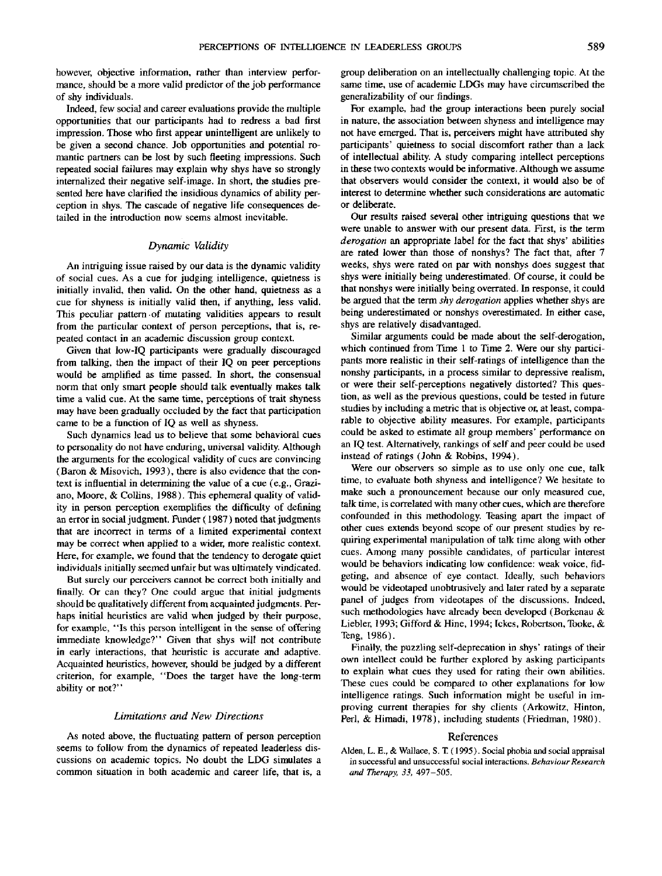however, objective information, rather than interview performance, should be a more valid predictor of the job performance of shy individuals.

Indeed, few social and career evaluations provide the multiple opportunities that our participants had to redress a bad first impression. Those who first appear unintelligent are unlikely to be given a second chance. Job opportunities and potential romantic partners can be lost by such fleeting impressions. Such repeated social failures may explain why shys have so strongly internalized their negative self-image. In short, the studies presented here have clarified the insidious dynamics of ability perception in shys. The cascade of negative life consequences detailed in the introduction now seems almost inevitable.

## *Dynamic Validity*

An intriguing issue raised by our data is the dynamic validity of social cues. As a cue for judging intelligence, quietness is initially invalid, then valid. On the other hand, quietness as a cue for shyness is initially valid then, if anything, less valid. This peculiar pattern-of mutating validities appears to result from the particular context of person perceptions, that is, repeated contact in an academic discussion group context.

Given that low-IQ participants were gradually discouraged from talking, then the impact of their IQ on peer perceptions would be amplified as time passed. In short, the consensual norm that only smart people should talk eventually makes talk time a valid cue. At the same time, perceptions of trait shyness may have been gradually occluded by the fact that participation came to be a function of IQ as well as shyness.

Such dynamics lead us to believe that some behavioral cues to personality do not have enduring, universal validity. Although the arguments for the ecological validity of cues are convincing (Baron & Misovich, 1993), there is also evidence that the context is influential in determining the value of a cue (e.g., Graziano, Moore, & Collins, 1988). This ephemeral quality of validity in person perception exemplifies the difficulty of defining an error in social judgment. Funder (1987) noted that judgments that are incorrect in terms of a limited experimental context may be correct when applied to a wider, more realistic context. Here, for example, we found that the tendency to derogate quiet individuals initially seemed unfair but was ultimately vindicated.

But surely our perceivers cannot be correct both initially and finally. Or can they? One could argue that initial judgments should be qualitatively different from acquainted judgments. Perhaps initial heuristics are valid when judged by their purpose, for example, "Is this person intelligent in the sense of offering immediate knowledge?" Given that shys will not contribute in early interactions, that heuristic is accurate and adaptive. Acquainted heuristics, however, should be judged by a different criterion, for example, "Does the target have the long-term ability or not?"

#### *Limitations and New Directions*

As noted above, the fluctuating pattern of person perception seems to follow from the dynamics of repeated leaderless discussions on academic topics, No doubt the LDG simulates a common situation in both academic and career life, that is, a

group deliberation on an intellectually challenging topic. At the same time, use of academic LDGs may have circumscribed the generalizability of our findings.

For example, had the group interactions been purely social in nature, the association between shyness and intelligence may not have emerged. That is, perceivers might have attributed shy participants' quietness to social discomfort rather than a lack of intellectual ability. A study comparing intellect perceptions in these two contexts would be informative. Although we assume that observers would consider the context, it would also be of interest to determine whether such considerations are automatic or deliberate.

Our results raised several other intriguing questions that we were unable to answer with our present data. First, is the term *derogation an* appropriate label for the fact that shys' abilities are rated lower than those of nonshys? The fact that, after 7 weeks, shys were rated on par with nonshys does suggest that shys were initially being underestimated. Of course, it could be that nonshys were initially being overrated. In response, it could be argued that the term *shy derogation* applies whether shys are being underestimated or nonshys overestimated. In either case, shys are relatively disadvantaged.

Similar arguments could be made about the self-derogation, which continued from Time 1 to Time 2. Were our shy participants more realistic in their self-ratings of intelligence than the nonshy participants, in a process similar to depressive realism, or were their self-perceptions negatively distorted? This question, as well as the previous questions, could be tested in future studies by including a metric that is objective or, at least, comparable to objective ability measures. For example, participants could be asked to estimate all group members' performance on an IQ test. Alternatively, rankings of self and peer could be used instead of ratings (John & Robins, 1994).

Were our observers so simple as to use only one cue, talk time, to evaluate both shyness and intelligence? We hesitate to make such a pronouncement because our only measured cue, talk time, is correlated with many other cues, which are therefore confounded in this methodology. Teasing apart the impact of other cues extends beyond scope of our present studies by requiring experimental manipulation of talk time along with other cues. Among many possible candidates, of particular interest would be behaviors indicating low confidence: weak voice, fidgeting, and absence of eye contact. Ideally, such behaviors would be videotaped unobtrusively and later rated by a separate panel of judges from videotapes of the discussions. Indeed, such methodologies have already been developed (Borkenau & Liebler, 1993; Gifford & Hine, 1994; Ickes, Robertson, Tooke, & Teng, 1986).

Finally, the puzzling self-deprecation in shys' ratings of their own intellect could be further explored by asking participants to explain what cues they used for rating their own abilities. These cues could be compared to other explanations for low intelligence ratings. Such information might be useful in improving current therapies for shy clients (Arkowitz, Hinton, Perl, & Himadi, 1978), including students (Friedman, 1980).

## References

Alden, L. E., & Wallace, S. T. (1995). Social phobia and social appraisal in successful and unsuccessful social interactions. *Behaviour Research and Therapy, 33,* 497-505.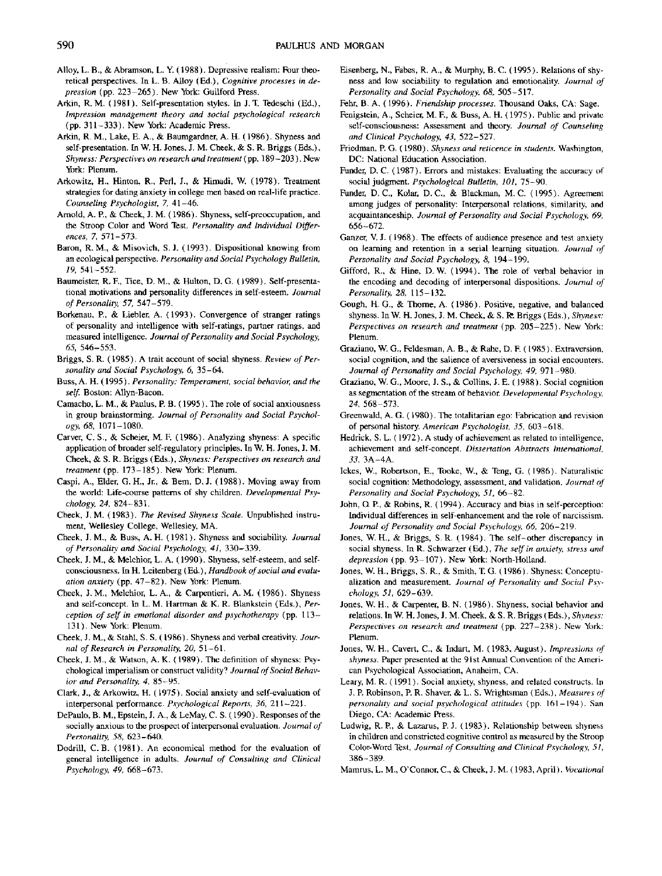- Alloy, L. B., & Abramson, L. Y. (1988). Depressive realism: Four theoretical perspectives. In L. B. Alloy (Ed.), *Cognitive processes in depression* (pp. 223-265). New York: Guilford Press.
- Arkin, R.M. (1981). Self-presentation styles. In J. T. Tedeschi (Ed.), *Impression management theory and social psychological research*  (pp. 311-333). New York: Academic Press.
- Arkin, R. M., Lake, E. A., & Baumgardner, A. H. (1986). Shyness and self-presentation. In W. H. Jones, J. M. Cheek, & S. R. Briggs (Eds.), Shyness: Perspectives on research and treatment (pp. 189-203). New York: Plenum.
- Arkowitz, H., Hinton, R., Perl, J., & Himadi, W. (1978). Treatment strategies for dating anxiety in college men based on real-life practice. *Counseling Psychologist,* 7, 41-46.
- Arnold, A. P., & Cheek, J. M. (1986). Shyness, self-preoccupation, and the Stroop Color and Word Test. *Personality and Individual Differences,* 7, 571-573.
- Baron, R. M., & Misovich, S. J. (1993). Dispositional knowing from an ecological perspective. *Personality and Social Psychology Bulletin, 19,* 541-552.
- Baumeister, R. E, Tice, D. M., & Hulton, D. G. (1989). Self-presentational motivations and personality differences in self-esteem. *Journal of Personality, 57,* 547-579.
- Borkenau, P., & Liebler, A. (1993). Convergence of stranger ratings of personality and intelligence with self-ratings, partner ratings, and measured intelligence. *Journal of Personality and Social Psychology, 65,* 546-553.
- Briggs, S. R. (1985). A trait account of social shyness. *Review of Personality and Social Psychology, 6,* 35-64.
- Buss, A. H. (1995). *Personality: Temperament, social behavior, and the self.* Boston: Allyn-Bacon.
- Camacho, L. M., & Paulus, P. B. ( 1995 ). The role of social anxiousness in group brainstorming. *Journal of Personality and Social Psychology, 68,* 1071-1080.
- Carver, C. S., & Scheier, M. E (1986). Analyzing shyness: A specific application of broader self-regulatory principles. In W. H. Jones, J. M. Cheek, & S. R. Briggs (Eds.), *Shyness: Perspectives on research and treatment* (pp. 173-185). New York: Plenum.
- Caspi, A., Elder, G. H., Jr., & Bern, D. J. (1988). Moving away from the world: Life-course patterns of shy children. *Developmental Psychology, 24,* 824-831.
- Cheek, J. M. (1983). *The Revised Shyness Scale.* Unpublished instrument, Wellesley College, Wellesley, MA.
- Cheek, J.M., & Buss, A. H. (1981). Shyness and sociability. *Journal of Personality and Social Psychology, 41,* 330-339.
- Cheek, J. M., & Melchior, L. A. (1990). Shyness, self-esteem, and selfconsciousness. In H. Leitenberg (Ed.), *Handbook of social and evaluation anxiety* (pp. 47-82). New York: Plenum.
- Cheek, J.M., Melchior, L. A., & Carpentieri, A.M. (1986). Shyness and self-concept. In L. M. Hartman & K. R. Blankstein (Eds.), *Perception of self in emotional disorder and psychotherapy* (pp. 113- 131). New York: Plenum.
- Cheek, J. M., & Stahl, S. S. (1986). Shyness and verbal creativity. *Journal of Research in Personality, 20,* 51-61.
- Cheek, J. M., & Watson, A. K. (1989). The definition of shyness: Psychological imperialism or construct validity? *Journal of Social Behavior and Personality, 4,* 85-95.
- Clark, J., & Arkowitz, H. (1975). Social anxiety and self-evaluation of interpersonal performance. *Psychological Reports, 36,* 211-221.
- DePaulo, B. M., Epstein, J. A., & LeMay, C. S. (1990). Responses of the socially anxious to the prospect of interpersonal evaluation. *Journal of Personality, 58,* 623-640.
- Dodrill, C.B. (1981). An economical method for the evaluation of general intelligence in adults. *Journal of Consulting and Clinical Psychology, 49,* 668-673.
- Eisenberg, N., Fabes, R. A., & Murphy, B. C. (1995). Relations of shyness and low sociability to regulation and emotionality. *Journal of Personality and Social Psychology, 68,* 505-517.
- Fehr, B. A. (1996). *Friendship processes.* Thousand Oaks, CA: Sage.
- Fenigstein, A., Scheier, M. E, & Buss, A. H. (1975). Public and private self-consciousness: Assessment and theory. *Journal of Counseling and Clinical Psychology, 43,* 522-527.
- Friedman, P. G. (1980). *Shyness and reticence in students.* Washington, DC: National Education Association.
- Funder, D. C. (1987). Errors and mistakes: Evaluating the accuracy of social judgment. *Psychological Bulletin, 101,* 75-90.
- Funder, D.C., Kolar, D.C., & Blackman, M.C. (1995). Agreement among judges of personality: Interpersonal relations, similarity, and acquaintanceship. *Journal of Personality and Social Psychology,* 69, 656-672.
- Ganzer, V. J. (1968). The effects of audience presence and test anxiety on learning and retention in a serial learning situation. *Journal of Personality and Social Psychology, 8,* 194-199.
- Gifford, R., & Hine, D.W. (1994). The role of verbal behavior in the encoding and decoding of interpersonal dispositions. *Journal of Personality, 28,* 115-132.
- Gough, H. G., & Thorne, A. (1986). Positive, negative, and balanced shyness. In W. H. Jones, J. M. Cheek, & S. R. Briggs (Eds.), *Shyness: Perspectives on research and treatment* (pp. 205-225). New York: Plenum.
- Graziano, W. G., Feldesman, A. B., & Rahe, D. F. (1985). Extraversion, social cognition, and the salience of aversiveness in social encounters. Journal of Personality and Social Psychology, 49, 971-980.
- Graziano, W. G., Moore, J. S., & Collins, J. E. (1988). Social cognition as segmentation of the stream of behavior. *Developmental Psychology, 24,* 568-573.
- Greenwald, A. G. (1980). The totalitarian ego: Fabrication and revision of personal history. *American Psychologist, 35,* 603-618.
- Hedrick, S. L. (1972). A study of achievement as related to intelligence, achievement and self-concept. *Dissertation Abstracts International. 33,* 3A-4A.
- Ickes, W., Robertson, E., Tooke, W., & Teng, G. (1986). Naturalistic social cognition: Methodology, assessment, and validation. *Journal of Personality and Social Psychology, 51,* 66-82.
- John, O. E, & Robins, R. (1994). Accuracy and bias in self-perception: Individual differences in self-enhancement and the role of narcissism. *Journal of Personality and Social Psychology, 66,* 206-219.
- Jones, W. H., & Briggs, S.R. (1984). The self-other discrepancy in social shyness. In R. Schwarzer (Ed.), *The self in anxiety, stress and depression* (pp. 93-107). New York: North-Holland.
- Jones, W. H., Briggs, S. R., & Smith, T. G. (1986). Shyness: Conceptualization and measurement. *Journal of Personality and Social Psychology, 51,* 629-639.
- Jones, W. H., & Carpenter, B. N. (1986). Shyness, social behavior and relations. In W. H. Jones, J. M. Cheek, & S. R. Briggs (Eds.), *Shyness: Perspectives on research and treatment* (pp. 227-238). New York: Plenum.
- Jones, W. H., Cavert, C., & Indart, M. (1983, August). *Impressions of shyness.* Paper presented at the 91st Annual Convention of the American Psychological Association, Anaheim, CA.
- Leary, M. R. (1991). Social anxiety, shyness, and related constructs. In J. P. Robinson, P. R. Shaver, & L. S. Wrightsman (Eds.), *Measures of personality and social psychological attitudes* (pp. 161-194). San Diego, CA: Academic Press.
- Ludwig, R. P., & Lazarus, P. J. (1983). Relationship between shyness in children and constricted cognitive control as measured by the Stroop Color-Word Test. *Journal of Consulting and Clinical Psycholog); 51,*  386-389.
- Mamrus, L. M., O'Connor, C., & Cheek, J. M. ( 1983, April). *Vocational*